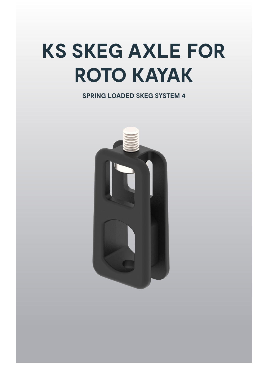# **KS SKEG AXLE FOR ROTO KAYAK**

**SPRING LOADED SKEG SYSTEM 4**

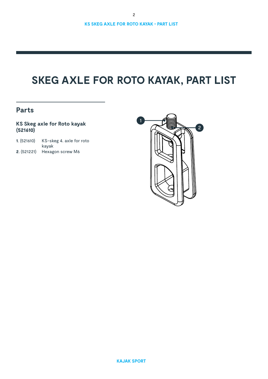# **SKEG AXLE FOR ROTO KAYAK, PART LIST**

### **Parts**

### **KS Skeg axle for Roto kayak (521610)**

| 1. (521610) | KS-skeg 4. axle for roto |
|-------------|--------------------------|
|             | kavak                    |
| 2. (521221) | Hexagon screw M6         |

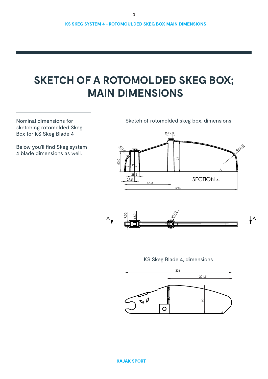# **SKETCH OF A ROTOMOLDED SKEG BOX; MAIN DIMENSIONS**

Nominal dimensions for sketching rotomolded Skeg Box for KS Skeg Blade 4

Below you'll find Skeg system 4 blade dimensions as well.

Sketch of rotomolded skeg box, dimensions





KS Skeg Blade 4, dimensions

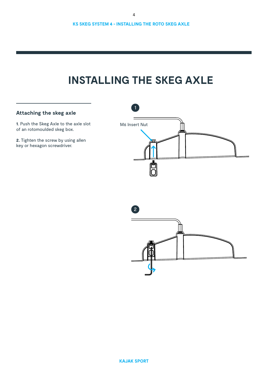# **INSTALLING THE SKEG AXLE**

### **Attaching the skeg axle**

**1**. Push the Skeg Axle to the axle slot of an rotomoulded skeg box.

**2.** Tighten the screw by using allen key or hexagon screwdriver.



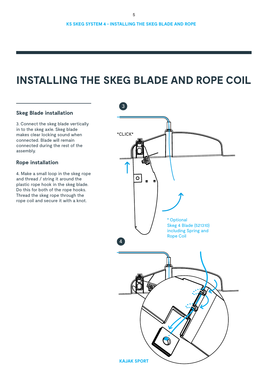## **INSTALLING THE SKEG BLADE AND ROPE COIL**

#### **Skeg Blade installation**

3. Connect the skeg blade vertically in to the skeg axle. Skeg blade makes clear locking sound when connected. Blade will remain connected during the rest of the assembly.

#### **Rope installation**

4. Make a small loop in the skeg rope and thread / string it around the plastic rope hook in the skeg blade. Do this for both of the rope hooks. Thread the skeg rope through the rope coil and secure it with a knot.